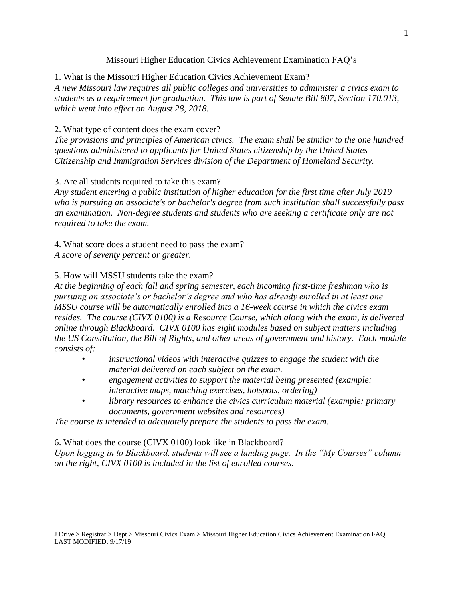## Missouri Higher Education Civics Achievement Examination FAQ's

1. What is the Missouri Higher Education Civics Achievement Exam? *A new Missouri law requires all public colleges and universities to administer a civics exam to students as a requirement for graduation. This law is part of Senate Bill 807, Section 170.013, which went into effect on August 28, 2018.*

## 2. What type of content does the exam cover?

*The provisions and principles of American civics. The exam shall be similar to the one hundred questions administered to applicants for United States citizenship by the United States Citizenship and Immigration Services division of the Department of Homeland Security.*

## 3. Are all students required to take this exam?

*Any student entering a public institution of higher education for the first time after July 2019 who is pursuing an associate's or bachelor's degree from such institution shall successfully pass an examination. Non-degree students and students who are seeking a certificate only are not required to take the exam.*

4. What score does a student need to pass the exam? *A score of seventy percent or greater.* 

## 5. How will MSSU students take the exam?

*At the beginning of each fall and spring semester, each incoming first-time freshman who is pursuing an associate's or bachelor's degree and who has already enrolled in at least one MSSU course will be automatically enrolled into a 16-week course in which the civics exam resides. The course (CIVX 0100) is a Resource Course, which along with the exam, is delivered online through Blackboard. CIVX 0100 has eight modules based on subject matters including the US Constitution, the Bill of Rights, and other areas of government and history. Each module consists of:*

- *• instructional videos with interactive quizzes to engage the student with the material delivered on each subject on the exam.*
- *• engagement activities to support the material being presented (example: interactive maps, matching exercises, hotspots, ordering)*
- *• library resources to enhance the civics curriculum material (example: primary documents, government websites and resources)*

*The course is intended to adequately prepare the students to pass the exam.*

6. What does the course (CIVX 0100) look like in Blackboard?

*Upon logging in to Blackboard, students will see a landing page. In the "My Courses" column on the right, CIVX 0100 is included in the list of enrolled courses.*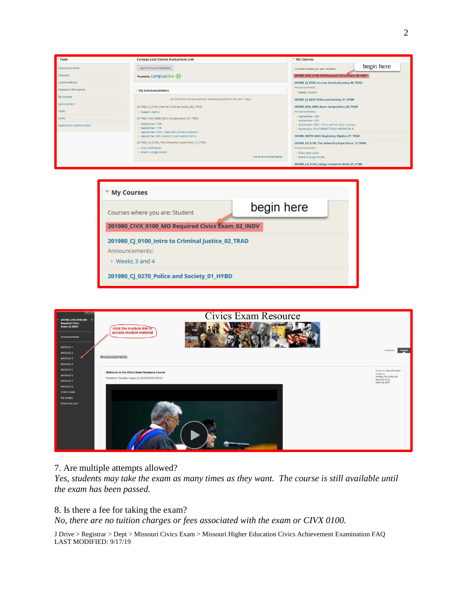| Tools                     | <b>Campus Labs Course Evaluations Link</b>                                               | My Courses                                                                                     |
|---------------------------|------------------------------------------------------------------------------------------|------------------------------------------------------------------------------------------------|
| Announcements             | Launch Course Evaluations                                                                | begin here<br>Courses where you are: Student                                                   |
| Calendar                  | Powered by Campuslabs - 8-                                                               | 201980 CIVX 0100 MO Required Civics Exam 02 INDV                                               |
| Lionet Website            |                                                                                          | 201980_CJ_0100_Intro to Criminal Justice_02_TRAD                                               |
| Personal Information      | My Announcements                                                                         | Announcements:<br>> Weeks 3 and 4                                                              |
| My Grades                 | No Institution Announcements have been posted in the last 7 days.                        | 201980 CJ 0270 Police and Society 01 HYBD                                                      |
| Spiva Library             | 201980_CJ_0100_Intro to Criminal Justice_02_TRAD                                         | 201980_ENG_0080_Basic Composition_02_TRAD                                                      |
| Tasks                     | > Weeks 3 and 4                                                                          | Announcements:                                                                                 |
| Goals                     | 201980 ENG 0080 Basic Composition 02 TRAD                                                | > September 13th<br>> September 11th                                                           |
| Application Authorization | > September 13th<br>> September 11th<br>> September 20th - Class will not be in session. | > September 20th - Class will not be in session.<br>> September 9th CORRECTION !! ARRIVE BY 9! |
|                           | > September 9th CORRECTION !! ARRIVE BY 9!                                               | 201980_MATH_0020_Beginning Algebra_07_TRAD                                                     |
|                           | 201980 UE 0100 The University Experience 13 TRAD                                         | 201980 UE 0100 The University Experience 13 TRAD                                               |
|                           | > Class next week                                                                        | Announcements:                                                                                 |
|                           | > Week 3 assignments<br>more announcements                                               | > Class next week<br>> Week 3 assignments                                                      |
|                           |                                                                                          | 201980 UE 0150 College Academic Skills 01_HYBD                                                 |





### 7. Are multiple attempts allowed?

*Yes, students may take the exam as many times as they want. The course is still available until the exam has been passed.*

#### 8. Is there a fee for taking the exam?

*No, there are no tuition charges or fees associated with the exam or CIVX 0100.*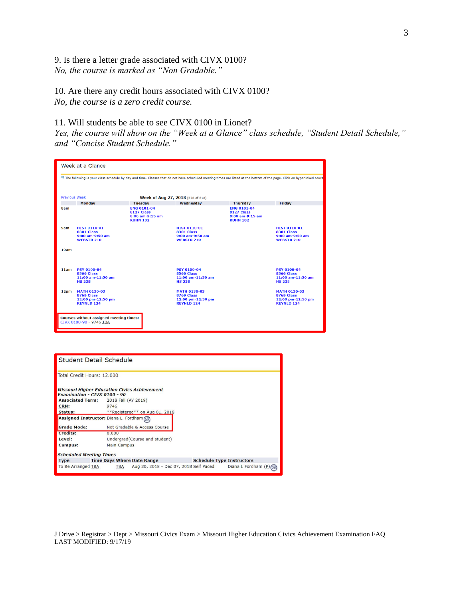9. Is there a letter grade associated with CIVX 0100? *No, the course is marked as "Non Gradable."*

10. Are there any credit hours associated with CIVX 0100? *No, the course is a zero credit course.*

### 11. Will students be able to see CIVX 0100 in Lionet?

*Yes, the course will show on the "Week at a Glance" class schedule, "Student Detail Schedule," and "Concise Student Schedule."*

|      | Week at a Glance                                                                   |                                                                               |                                                                                    |                                                                               |                                                                                                                                                                         |
|------|------------------------------------------------------------------------------------|-------------------------------------------------------------------------------|------------------------------------------------------------------------------------|-------------------------------------------------------------------------------|-------------------------------------------------------------------------------------------------------------------------------------------------------------------------|
|      |                                                                                    |                                                                               |                                                                                    |                                                                               | The following is your class schedule by day and time. Classes that do not have scheduled meeting times are listed at the bottom of the page. Click on hyperlinked cours |
|      | <b>Previous Week</b>                                                               |                                                                               | Week of Aug 27, 2018 (576 of 612)                                                  |                                                                               |                                                                                                                                                                         |
|      | <b>Monday</b>                                                                      | <b>Tuesday</b>                                                                | Wednesday                                                                          | <b>Thursday</b>                                                               | Friday                                                                                                                                                                  |
| 8am  |                                                                                    | <b>ENG 0101-04</b><br><b>8127 Class</b><br>8:00 am-9:15 am<br><b>KUHN 102</b> |                                                                                    | <b>ENG 0101-04</b><br><b>8127 Class</b><br>8:00 am-9:15 am<br><b>KUHN 102</b> |                                                                                                                                                                         |
| 9am  | <b>HIST 0110-01</b><br><b>8301 Class</b><br>9:00 am-9:50 am<br><b>WEBSTR 210</b>   |                                                                               | <b>HIST 0110-01</b><br><b>8301 Class</b><br>9:00 am-9:50 am<br><b>WEBSTR 210</b>   |                                                                               | <b>HIST 0110-01</b><br><b>8301 Class</b><br>9:00 am-9:50 am<br><b>WEBSTR 210</b>                                                                                        |
| 10am |                                                                                    |                                                                               |                                                                                    |                                                                               |                                                                                                                                                                         |
| 11am | <b>PSY 0100-04</b><br><b>8566 Class</b><br>11:00 am-11:50 am<br><b>HS 238</b>      |                                                                               | <b>PSY 0100-04</b><br><b>8566 Class</b><br>11:00 am-11:50 am<br><b>HS 238</b>      |                                                                               | <b>PSY 0100-04</b><br><b>8566 Class</b><br>11:00 am-11:50 am<br><b>HS 238</b>                                                                                           |
| 12pm | <b>MATH 0130-03</b><br><b>8769 Class</b><br>12:00 pm-12:50 pm<br><b>REYNLD 124</b> |                                                                               | <b>MATH 0130-03</b><br><b>8769 Class</b><br>12:00 pm-12:50 pm<br><b>REYNLD 124</b> |                                                                               | <b>MATH 0130-03</b><br><b>8769 Class</b><br>12:00 pm-12:50 pm<br><b>REYNLD 124</b>                                                                                      |
|      | <b>Courses without assigned meeting times:</b><br>CIVX 0100-90 - 9746 TBA          |                                                                               |                                                                                    |                                                                               |                                                                                                                                                                         |

| Student Detail Schedule                                                                    |                     |                                        |  |                                  |                     |  |  |  |  |
|--------------------------------------------------------------------------------------------|---------------------|----------------------------------------|--|----------------------------------|---------------------|--|--|--|--|
| Total Credit Hours: 12,000                                                                 |                     |                                        |  |                                  |                     |  |  |  |  |
| <b>Missouri Higher Education Civics Achievement</b><br><b>Examination - CIVX 0100 - 90</b> |                     |                                        |  |                                  |                     |  |  |  |  |
| <b>Associated Term:</b>                                                                    | 2018 Fall (AY 2019) |                                        |  |                                  |                     |  |  |  |  |
| CRN:                                                                                       | 9746                |                                        |  |                                  |                     |  |  |  |  |
| <b>Status:</b>                                                                             |                     | **Registered** on Aug 01, 2018         |  |                                  |                     |  |  |  |  |
| Assigned Instructor: Diana L. Fordham                                                      |                     |                                        |  |                                  |                     |  |  |  |  |
| <b>Grade Mode:</b>                                                                         |                     | Not Gradable & Access Course           |  |                                  |                     |  |  |  |  |
| <b>Credits:</b>                                                                            | 0.000               |                                        |  |                                  |                     |  |  |  |  |
| Level:                                                                                     |                     | Undergrad(Course and student)          |  |                                  |                     |  |  |  |  |
| <b>Campus:</b>                                                                             | <b>Main Campus</b>  |                                        |  |                                  |                     |  |  |  |  |
| <b>Scheduled Meeting Times</b>                                                             |                     |                                        |  |                                  |                     |  |  |  |  |
| <b>Type</b>                                                                                |                     | <b>Time Days Where Date Range</b>      |  | <b>Schedule Type Instructors</b> |                     |  |  |  |  |
| To Be Arranged TBA                                                                         | <b>TBA</b>          | Aug 20, 2018 - Dec 07, 2018 Self Paced |  |                                  | Diana L Fordham (P) |  |  |  |  |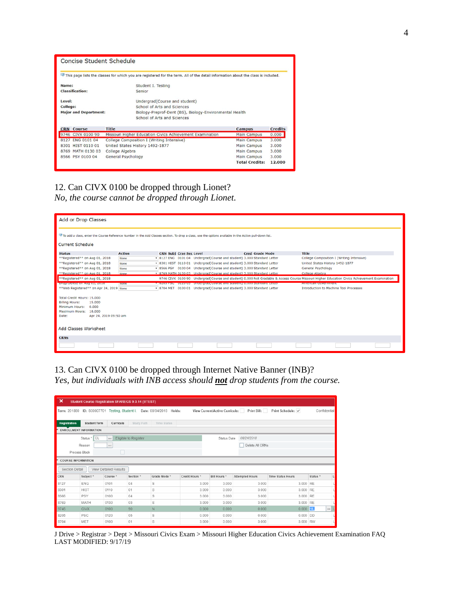| Concise Student Schedule     |                                                                                                                                   |                       |                |  |  |  |
|------------------------------|-----------------------------------------------------------------------------------------------------------------------------------|-----------------------|----------------|--|--|--|
|                              | This page lists the classes for which you are registered for the term. All of the detail information about the class is included. |                       |                |  |  |  |
| Name:                        | Student I. Testing                                                                                                                |                       |                |  |  |  |
| <b>Classification:</b>       | Senior                                                                                                                            |                       |                |  |  |  |
| Level:                       | Undergrad(Course and student)                                                                                                     |                       |                |  |  |  |
| College:                     | School of Arts and Sciences                                                                                                       |                       |                |  |  |  |
| <b>Major and Department:</b> | Biology-Preprof-Dent (BS), Biology-Environmental Health<br>School of Arts and Sciences                                            |                       |                |  |  |  |
| <b>CRN</b> Course            | <b>Title</b>                                                                                                                      | <b>Campus</b>         | <b>Credits</b> |  |  |  |
| 9746 CIVX 0100 90            | Missouri Higher Education Civics Achievement Examination                                                                          | Main Campus           | 0.000          |  |  |  |
| 8127 ENG 0101 04             | College Composition I (Writing Intensive)                                                                                         | <b>Main Campus</b>    | 3.000          |  |  |  |
| 8301 HIST 0110 01            | United States History 1492-1877                                                                                                   | Main Campus           | 3.000          |  |  |  |
| 8769 MATH 0130 03            | College Algebra                                                                                                                   | <b>Main Campus</b>    | 3,000          |  |  |  |
| 8566 PSY 0100 04             | General Psychology                                                                                                                | Main Campus           | 3.000          |  |  |  |
|                              |                                                                                                                                   | <b>Total Credits:</b> | 12,000         |  |  |  |

# 12. Can CIVX 0100 be dropped through Lionet? *No, the course cannot be dropped through Lionet.*

| Add or Drop Classes                                                                                                                                                               |              |  |                                                                            |  |                                                                                                                                             |  |  |  |  |  |  |
|-----------------------------------------------------------------------------------------------------------------------------------------------------------------------------------|--------------|--|----------------------------------------------------------------------------|--|---------------------------------------------------------------------------------------------------------------------------------------------|--|--|--|--|--|--|
| To add a class, enter the Course Reference Number in the Add Classes section. To drop a class, use the options available in the Action pull-down list.<br><b>Current Schedule</b> |              |  |                                                                            |  |                                                                                                                                             |  |  |  |  |  |  |
| <b>Action</b><br><b>Cred Grade Mode</b><br><b>Title</b><br><b>CRN Subj Crse Sec Level</b>                                                                                         |              |  |                                                                            |  |                                                                                                                                             |  |  |  |  |  |  |
| <b>Status</b><br>**Registered** on Aug 01, 2018                                                                                                                                   | None         |  | 8127 ENG 0101 04 Undergrad (Course and student) 3.000 Standard Letter      |  | College Composition I (Writing Intensive)                                                                                                   |  |  |  |  |  |  |
| **Registered** on Aug 01, 2018                                                                                                                                                    | None         |  | 8301 HIST 0110 01 Undergrad(Course and student) 3.000 Standard Letter      |  | United States History 1492-1877                                                                                                             |  |  |  |  |  |  |
| **Registered** on Aug 01, 2018                                                                                                                                                    | None         |  | * 8566 PSY 0100 04 Undergrad(Course and student) 3.000 Standard Letter     |  | General Psychology                                                                                                                          |  |  |  |  |  |  |
| **Registered** on Aug 01, 2018                                                                                                                                                    | None         |  | . 8769 MATH 0130 03 Undergrad Course and student) 3,000 Standard Letter    |  | College Algebra                                                                                                                             |  |  |  |  |  |  |
| **Registered** on Aug 01, 2018                                                                                                                                                    |              |  |                                                                            |  | 9746 CIVX 0100 90 Undergrad(Course and student) 0.000 Not Gradable & Access Course Missouri Higher Education Civics Achievement Examination |  |  |  |  |  |  |
| Drop/Delete on Aug 01, 2016                                                                                                                                                       | <b>TNORE</b> |  | <b>A LOSOD NOC AND A DIMENSION COMPASSION SIGNATION OF A LOSOD COMPANY</b> |  | American coverinnent                                                                                                                        |  |  |  |  |  |  |
| ** Web Registered** on Apr 24, 2019 None                                                                                                                                          |              |  | * 8704 MET 0100 01 Undergrad(Course and student) 3.000 Standard Letter     |  | <b>Introduction to Machine Tool Processes</b>                                                                                               |  |  |  |  |  |  |
|                                                                                                                                                                                   |              |  |                                                                            |  |                                                                                                                                             |  |  |  |  |  |  |
| Total Credit Hours: 15.000                                                                                                                                                        |              |  |                                                                            |  |                                                                                                                                             |  |  |  |  |  |  |
| <b>Billing Hours:</b><br>15,000                                                                                                                                                   |              |  |                                                                            |  |                                                                                                                                             |  |  |  |  |  |  |
| Minimum Hours: 0.000                                                                                                                                                              |              |  |                                                                            |  |                                                                                                                                             |  |  |  |  |  |  |
| Maximum Hours: 18,000                                                                                                                                                             |              |  |                                                                            |  |                                                                                                                                             |  |  |  |  |  |  |
| Apr 24, 2019 09:50 am<br>Date:                                                                                                                                                    |              |  |                                                                            |  |                                                                                                                                             |  |  |  |  |  |  |
|                                                                                                                                                                                   |              |  |                                                                            |  |                                                                                                                                             |  |  |  |  |  |  |
| Add Classes Worksheet                                                                                                                                                             |              |  |                                                                            |  |                                                                                                                                             |  |  |  |  |  |  |
| <b>CRNs</b>                                                                                                                                                                       |              |  |                                                                            |  |                                                                                                                                             |  |  |  |  |  |  |
|                                                                                                                                                                                   |              |  |                                                                            |  |                                                                                                                                             |  |  |  |  |  |  |

## 13. Can CIVX 0100 be dropped through Internet Native Banner (INB)? *Yes, but individuals with INB access should not drop students from the course.*

| $\boldsymbol{\mathsf{x}}$ | <b>Student Course Registration SFAREGS 9.3.14 (BTEST)</b>                                                                                                       |                              |                      |              |                |                    |                        |                          |                          |  |  |  |
|---------------------------|-----------------------------------------------------------------------------------------------------------------------------------------------------------------|------------------------------|----------------------|--------------|----------------|--------------------|------------------------|--------------------------|--------------------------|--|--|--|
|                           | View Current/Active Curricula:<br>Print Bill:<br>Print Schedule: √<br>ID: S00007701 Testing, Student I. Date: 08/04/2018 Holds:<br>Confidential<br>Term: 201880 |                              |                      |              |                |                    |                        |                          |                          |  |  |  |
| <b>Registration</b>       | <b>Student Term</b><br><b>Study Path</b><br>Curricula<br><b>Time Status</b><br><b>ENROLLMENT INFORMATION</b>                                                    |                              |                      |              |                |                    |                        |                          |                          |  |  |  |
|                           |                                                                                                                                                                 |                              |                      |              |                |                    |                        |                          |                          |  |  |  |
|                           | EL<br>Status *                                                                                                                                                  | $\cdots$                     | Eligible to Register |              |                | <b>Status Date</b> | 08/24/2018             |                          |                          |  |  |  |
|                           | Reason                                                                                                                                                          | $\cdots$                     |                      |              |                |                    | Delete All CRNs        |                          |                          |  |  |  |
| Process Block             |                                                                                                                                                                 |                              |                      |              |                |                    |                        |                          |                          |  |  |  |
|                           | <b>COURSE INFORMATION</b>                                                                                                                                       |                              |                      |              |                |                    |                        |                          |                          |  |  |  |
| Section Detail            |                                                                                                                                                                 | <b>View Detailed Results</b> |                      |              |                |                    |                        |                          |                          |  |  |  |
| CRN                       | Subject <sup>*</sup>                                                                                                                                            | Course <sup>*</sup>          | Section <sup>*</sup> | Grade Mode * | Credit Hours * | Bill Hours *       | <b>Attempted Hours</b> | <b>Time Status Hours</b> | Status <sup>*</sup><br>U |  |  |  |
| 8127                      | <b>ENG</b>                                                                                                                                                      | 0101                         | 04                   | S            | 3.000          | 3.000              | 3.000                  | 3.000 RE                 |                          |  |  |  |
| 8301                      | <b>HIST</b>                                                                                                                                                     | 0110                         | 01                   | S            | 3.000          | 3.000              | 3.000                  | 3.000 RE                 |                          |  |  |  |
| 8566                      | PSY                                                                                                                                                             | 0100                         | 04                   | S            | 3.000          | 3.000              | 3.000                  | 3.000 RE                 |                          |  |  |  |
| 8769                      | MATH                                                                                                                                                            | 0130                         | 03                   | S            | 3.000          | 3.000              | 3.000                  | 3,000 RE                 |                          |  |  |  |
| 9746                      | <b>CIVX</b>                                                                                                                                                     | 0100                         | 90                   | $\mathbb N$  | 0.000          | 0.000              | 0.000                  | $0.000$ RE               | $\cdots$                 |  |  |  |
| 8205                      | PSC                                                                                                                                                             | 0120                         | 05                   | S            | 0.000          | 0.000              | 0.000                  | $0.000$ DD               |                          |  |  |  |
| 8704                      | MET                                                                                                                                                             | 0100                         | 01                   | S            | 3.000          | 3.000              | 3,000                  | 3,000 RW                 |                          |  |  |  |

J Drive > Registrar > Dept > Missouri Civics Exam > Missouri Higher Education Civics Achievement Examination FAQ LAST MODIFIED: 9/17/19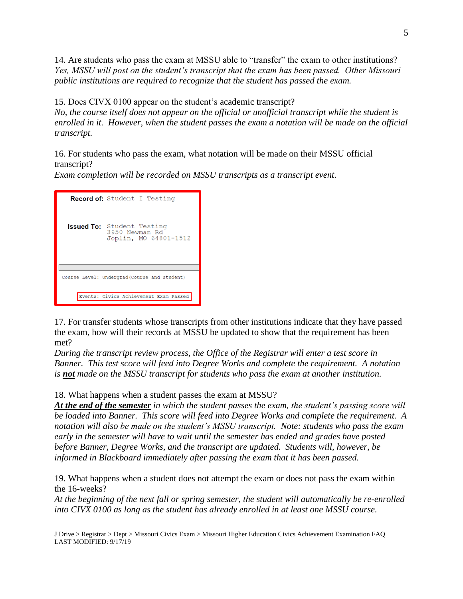14. Are students who pass the exam at MSSU able to "transfer" the exam to other institutions? *Yes, MSSU will post on the student's transcript that the exam has been passed. Other Missouri public institutions are required to recognize that the student has passed the exam.*

15. Does CIVX 0100 appear on the student's academic transcript?

*No, the course itself does not appear on the official or unofficial transcript while the student is enrolled in it. However, when the student passes the exam a notation will be made on the official transcript.*

16. For students who pass the exam, what notation will be made on their MSSU official transcript?

*Exam completion will be recorded on MSSU transcripts as a transcript event.*

| <b>Record of:</b> Student I Testing                                          |
|------------------------------------------------------------------------------|
| <b>Issued To:</b> Student Testing<br>3950 Newman Rd<br>Joplin, MO 64801-1512 |
|                                                                              |
| Course Level: Undergrad (Course and student)                                 |
| Events: Civics Achievement Exam Passed                                       |

17. For transfer students whose transcripts from other institutions indicate that they have passed the exam, how will their records at MSSU be updated to show that the requirement has been met?

*During the transcript review process, the Office of the Registrar will enter a test score in Banner. This test score will feed into Degree Works and complete the requirement. A notation is not made on the MSSU transcript for students who pass the exam at another institution.* 

18. What happens when a student passes the exam at MSSU?

*At the end of the semester in which the student passes the exam, the student's passing score will be loaded into Banner. This score will feed into Degree Works and complete the requirement. A notation will also be made on the student's MSSU transcript. Note: students who pass the exam early in the semester will have to wait until the semester has ended and grades have posted before Banner, Degree Works, and the transcript are updated. Students will, however, be informed in Blackboard immediately after passing the exam that it has been passed.*

19. What happens when a student does not attempt the exam or does not pass the exam within the 16-weeks?

*At the beginning of the next fall or spring semester, the student will automatically be re-enrolled into CIVX 0100 as long as the student has already enrolled in at least one MSSU course.*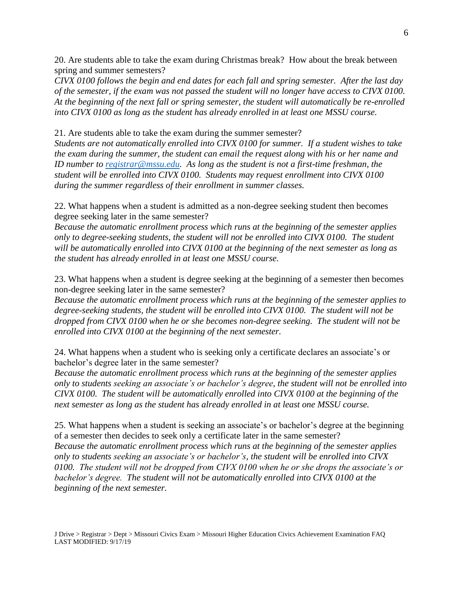20. Are students able to take the exam during Christmas break? How about the break between spring and summer semesters?

*CIVX 0100 follows the begin and end dates for each fall and spring semester. After the last day of the semester, if the exam was not passed the student will no longer have access to CIVX 0100. At the beginning of the next fall or spring semester, the student will automatically be re-enrolled into CIVX 0100 as long as the student has already enrolled in at least one MSSU course.*

21. Are students able to take the exam during the summer semester?

*Students are not automatically enrolled into CIVX 0100 for summer. If a student wishes to take the exam during the summer, the student can email the request along with his or her name and ID number to [registrar@mssu.edu.](mailto:registrar@mssu.edu) As long as the student is not a first-time freshman, the student will be enrolled into CIVX 0100. Students may request enrollment into CIVX 0100 during the summer regardless of their enrollment in summer classes.* 

22. What happens when a student is admitted as a non-degree seeking student then becomes degree seeking later in the same semester?

*Because the automatic enrollment process which runs at the beginning of the semester applies only to degree-seeking students, the student will not be enrolled into CIVX 0100. The student will be automatically enrolled into CIVX 0100 at the beginning of the next semester as long as the student has already enrolled in at least one MSSU course.*

23. What happens when a student is degree seeking at the beginning of a semester then becomes non-degree seeking later in the same semester?

*Because the automatic enrollment process which runs at the beginning of the semester applies to degree-seeking students, the student will be enrolled into CIVX 0100. The student will not be dropped from CIVX 0100 when he or she becomes non-degree seeking. The student will not be enrolled into CIVX 0100 at the beginning of the next semester.*

24. What happens when a student who is seeking only a certificate declares an associate's or bachelor's degree later in the same semester?

*Because the automatic enrollment process which runs at the beginning of the semester applies only to students seeking an associate's or bachelor's degree, the student will not be enrolled into CIVX 0100. The student will be automatically enrolled into CIVX 0100 at the beginning of the next semester as long as the student has already enrolled in at least one MSSU course.*

25. What happens when a student is seeking an associate's or bachelor's degree at the beginning of a semester then decides to seek only a certificate later in the same semester? *Because the automatic enrollment process which runs at the beginning of the semester applies only to students seeking an associate's or bachelor's, the student will be enrolled into CIVX 0100. The student will not be dropped from CIVX 0100 when he or she drops the associate's or bachelor's degree. The student will not be automatically enrolled into CIVX 0100 at the beginning of the next semester.*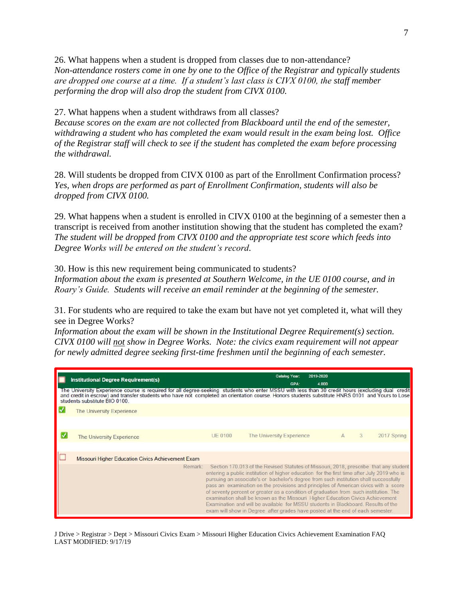26. What happens when a student is dropped from classes due to non-attendance? *Non-attendance rosters come in one by one to the Office of the Registrar and typically students are dropped one course at a time. If a student's last class is CIVX 0100, the staff member performing the drop will also drop the student from CIVX 0100.* 

27. What happens when a student withdraws from all classes?

*Because scores on the exam are not collected from Blackboard until the end of the semester, withdrawing a student who has completed the exam would result in the exam being lost. Office of the Registrar staff will check to see if the student has completed the exam before processing the withdrawal.* 

28. Will students be dropped from CIVX 0100 as part of the Enrollment Confirmation process? *Yes, when drops are performed as part of Enrollment Confirmation, students will also be dropped from CIVX 0100.*

29. What happens when a student is enrolled in CIVX 0100 at the beginning of a semester then a transcript is received from another institution showing that the student has completed the exam? *The student will be dropped from CIVX 0100 and the appropriate test score which feeds into Degree Works will be entered on the student's record.*

30. How is this new requirement being communicated to students? *Information about the exam is presented at Southern Welcome, in the UE 0100 course, and in Roary's Guide. Students will receive an email reminder at the beginning of the semester.*

31. For students who are required to take the exam but have not yet completed it, what will they see in Degree Works?

*Information about the exam will be shown in the Institutional Degree Requirement(s) section. CIVX 0100 will not show in Degree Works. Note: the civics exam requirement will not appear for newly admitted degree seeking first-time freshmen until the beginning of each semester.*

| <b>Institutional Degree Requirement(s)</b><br>The University Experience course is required for all degree-seeking students who enter MSSU with less than 30 credit hours (excluding dual credit and credit and credit in escrow) and transfer students who have not complete<br>students substitute BIO 0100. |                | <b>Catalog Year:</b><br><b>GPA:</b>                                                                                                                                                                                                                                                                                                                                                                                                                                                                                                                                                                                                                                                                                     | 2019-2020<br>4.000 |              |   |             |  |
|---------------------------------------------------------------------------------------------------------------------------------------------------------------------------------------------------------------------------------------------------------------------------------------------------------------|----------------|-------------------------------------------------------------------------------------------------------------------------------------------------------------------------------------------------------------------------------------------------------------------------------------------------------------------------------------------------------------------------------------------------------------------------------------------------------------------------------------------------------------------------------------------------------------------------------------------------------------------------------------------------------------------------------------------------------------------------|--------------------|--------------|---|-------------|--|
| The University Experience                                                                                                                                                                                                                                                                                     |                |                                                                                                                                                                                                                                                                                                                                                                                                                                                                                                                                                                                                                                                                                                                         |                    |              |   |             |  |
| The University Experience                                                                                                                                                                                                                                                                                     | <b>UE 0100</b> | The University Experience                                                                                                                                                                                                                                                                                                                                                                                                                                                                                                                                                                                                                                                                                               |                    | $\mathbb{A}$ | 3 | 2017 Spring |  |
| Missouri Higher Education Civics Achievement Exam                                                                                                                                                                                                                                                             |                |                                                                                                                                                                                                                                                                                                                                                                                                                                                                                                                                                                                                                                                                                                                         |                    |              |   |             |  |
| Remark                                                                                                                                                                                                                                                                                                        |                | Section 170.013 of the Revised Statutes of Missouri, 2018, prescribe that any student<br>entering a public institution of higher education for the first time after July 2019 who is<br>pursuing an associate's or bachelor's degree from such institution shall successfully<br>pass an examination on the provisions and principles of American civics with a score<br>of seventy percent or greater as a condition of graduation from such institution. The<br>examination shall be known as the Missouri Higher Education Civics Achievement<br>Examination and will be available for MSSU students in Blackboard. Results of the<br>exam will show in Degree after grades have posted at the end of each semester. |                    |              |   |             |  |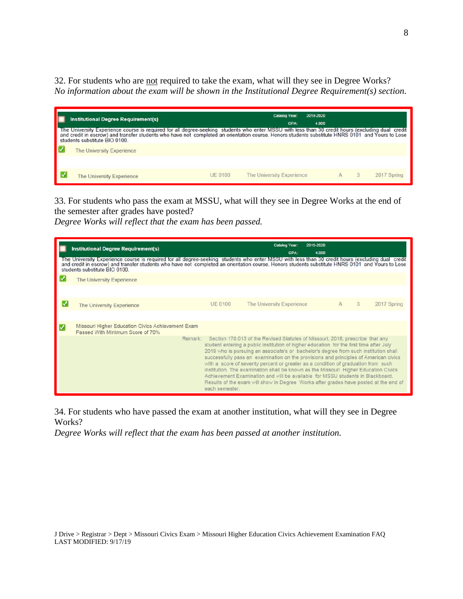32. For students who are not required to take the exam, what will they see in Degree Works? *No information about the exam will be shown in the Institutional Degree Requirement(s) section.*

| <b>Institutional Degree Requirement(s)</b><br>The University Experience course is required for all degree-seeking students who enter MSSU with less than 30 credit hours (excluding dual credit<br>and credit in escrow) and transfer students who have not completed an orientation course. Honors students substitute HNRS 0101 and Yours to Lose<br>students substitute BIO 0100. |                | Catalog Year:<br><b>GPA:</b> | 2019-2020<br>4.000 |             |
|--------------------------------------------------------------------------------------------------------------------------------------------------------------------------------------------------------------------------------------------------------------------------------------------------------------------------------------------------------------------------------------|----------------|------------------------------|--------------------|-------------|
| The University Experience<br>The University Experience                                                                                                                                                                                                                                                                                                                               | <b>UE 0100</b> | The University Experience    |                    | 2017 Spring |

33. For students who pass the exam at MSSU, what will they see in Degree Works at the end of the semester after grades have posted?

*Degree Works will reflect that the exam has been passed.*

| <b>Institutional Degree Requirement(s)</b>                                                                                                                                                                                                                                                                                             |                | <b>Catalog Year:</b><br><b>GPA</b>                                                                                                                                                                                                                                                                                                                                                                                                                                                                                                                                                                                                                                                                                     | 2019-2020<br>4.000 |   |             |
|----------------------------------------------------------------------------------------------------------------------------------------------------------------------------------------------------------------------------------------------------------------------------------------------------------------------------------------|----------------|------------------------------------------------------------------------------------------------------------------------------------------------------------------------------------------------------------------------------------------------------------------------------------------------------------------------------------------------------------------------------------------------------------------------------------------------------------------------------------------------------------------------------------------------------------------------------------------------------------------------------------------------------------------------------------------------------------------------|--------------------|---|-------------|
| The University Experience course is required for all degree-seeking students who enter MSSU with less than 30 credit hours (excluding dual credit<br>and credit in escrow) and transfer students who have not completed an orientation course. Honors students substitute HNRS 0101 and Yours to Lose<br>students substitute BIO 0100. |                |                                                                                                                                                                                                                                                                                                                                                                                                                                                                                                                                                                                                                                                                                                                        |                    |   |             |
| The University Experience                                                                                                                                                                                                                                                                                                              |                |                                                                                                                                                                                                                                                                                                                                                                                                                                                                                                                                                                                                                                                                                                                        |                    |   |             |
|                                                                                                                                                                                                                                                                                                                                        |                |                                                                                                                                                                                                                                                                                                                                                                                                                                                                                                                                                                                                                                                                                                                        |                    |   |             |
| <b>The University Experience</b>                                                                                                                                                                                                                                                                                                       | <b>UE 0100</b> | The University Experience                                                                                                                                                                                                                                                                                                                                                                                                                                                                                                                                                                                                                                                                                              | $\mathbb{A}$       | 3 | 2017 Spring |
|                                                                                                                                                                                                                                                                                                                                        |                |                                                                                                                                                                                                                                                                                                                                                                                                                                                                                                                                                                                                                                                                                                                        |                    |   |             |
| Missouri Higher Education Civics Achievement Exam<br>Passed With Minimum Score of 70%                                                                                                                                                                                                                                                  |                |                                                                                                                                                                                                                                                                                                                                                                                                                                                                                                                                                                                                                                                                                                                        |                    |   |             |
|                                                                                                                                                                                                                                                                                                                                        | each semester. | Remark: Section 170.013 of the Revised Statutes of Missouri, 2018, prescribe that any<br>student entering a public institution of higher education for the first time after July<br>2019 who is pursuing an associate's or bachelor's degree from such institution shall<br>successfully pass an examination on the provisions and principles of American civics<br>with a score of seventy percent or greater as a condition of graduation from such<br>institution. The examination shall be known as the Missouri Higher Education Civics<br>Achievement Examination and will be available for MSSU students in Blackboard.<br>Results of the exam will show in Degree Works after grades have posted at the end of |                    |   |             |

34. For students who have passed the exam at another institution, what will they see in Degree Works?

*Degree Works will reflect that the exam has been passed at another institution.*